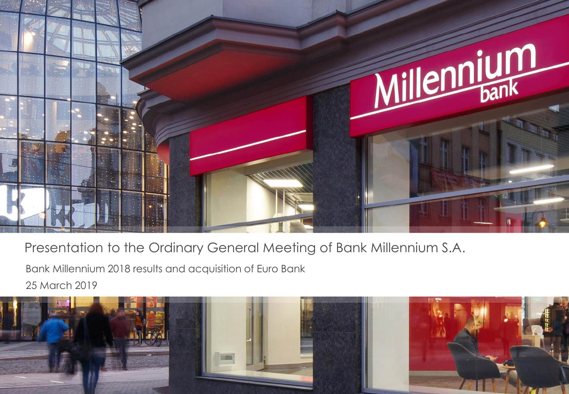

Presentation to the Ordinary General Meeting of Bank Millennium S.A.

Bank Millennium 2018 results and acquisition of Euro Bank

25 March 2019

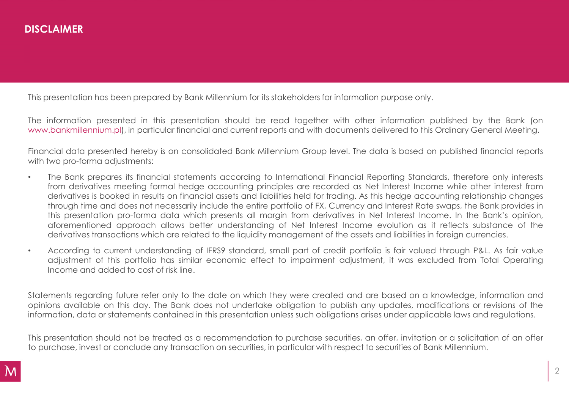This presentation has been prepared by Bank Millennium for its stakeholders for information purpose only.

The information presented in this presentation should be read together with other information published by the Bank (on [www.bankmillennium.pl](http://www.bankmillennium.pl/)), in particular financial and current reports and with documents delivered to this Ordinary General Meeting.

Financial data presented hereby is on consolidated Bank Millennium Group level. The data is based on published financial reports with two pro-forma adjustments:

- The Bank prepares its financial statements according to International Financial Reporting Standards, therefore only interests from derivatives meeting formal hedge accounting principles are recorded as Net Interest Income while other interest from derivatives is booked in results on financial assets and liabilities held for trading. As this hedge accounting relationship changes through time and does not necessarily include the entire portfolio of FX, Currency and Interest Rate swaps, the Bank provides in this presentation pro-forma data which presents all margin from derivatives in Net Interest Income. In the Bank's opinion, aforementioned approach allows better understanding of Net Interest Income evolution as it reflects substance of the derivatives transactions which are related to the liquidity management of the assets and liabilities in foreign currencies.
- According to current understanding of IFRS9 standard, small part of credit portfolio is fair valued through P&L. As fair value adjustment of this portfolio has similar economic effect to impairment adjustment, it was excluded from Total Operating Income and added to cost of risk line.

Statements regarding future refer only to the date on which they were created and are based on a knowledge, information and opinions available on this day. The Bank does not undertake obligation to publish any updates, modifications or revisions of the information, data or statements contained in this presentation unless such obligations arises under applicable laws and regulations.

This presentation should not be treated as a recommendation to purchase securities, an offer, invitation or a solicitation of an offer to purchase, invest or conclude any transaction on securities, in particular with respect to securities of Bank Millennium.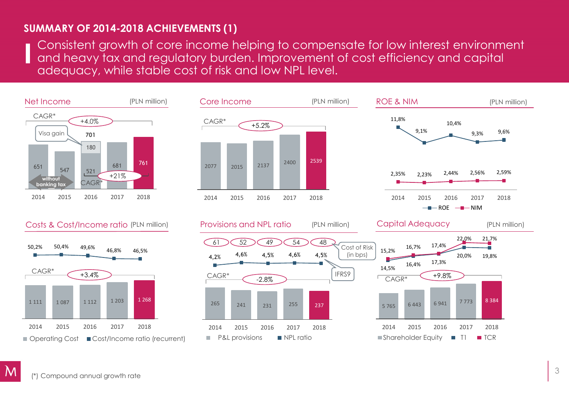## **SUMMARY OF 2014-2018 ACHIEVEMENTS (1)**

Consistent growth of core income helping to compensate for low interest environment and heavy tax and regulatory burden. Improvement of cost efficiency and capital adequacy, while stable cost of risk and low NPL level.

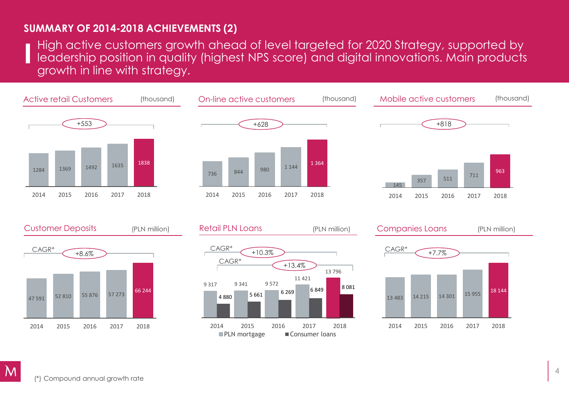### **SUMMARY OF 2014-2018 ACHIEVEMENTS (2)**

High active customers growth ahead of level targeted for 2020 Strategy, supported by leadership position in quality (highest NPS score) and digital innovations. Main products growth in line with strategy.







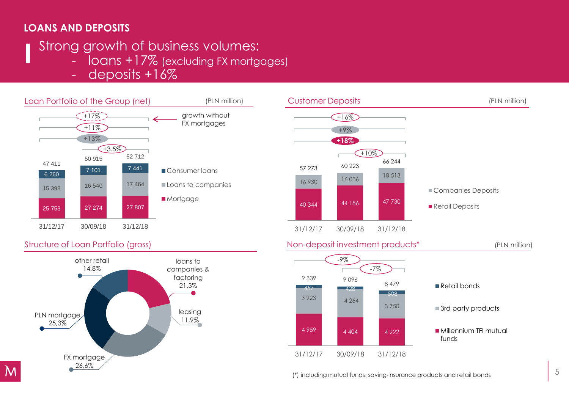## **LOANS AND DEPOSITS**

## Strong growth of business volumes:

- loans +17% (excluding FX mortgages)
- deposits +16%





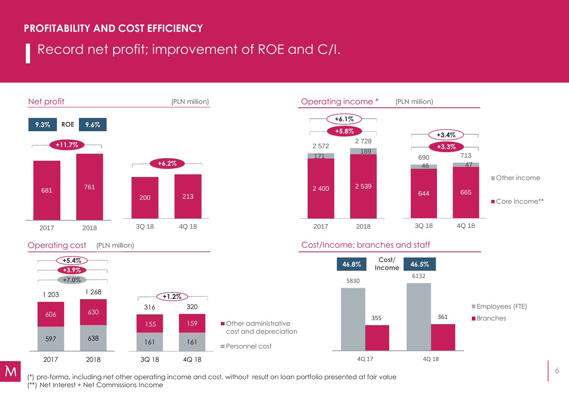### **PROFITABILITY AND COST EFFICIENCY**

# Record net profit; improvement of ROE and C/I.



#### (PLN million)

 $\mathbf M$ 





#### Operating cost (PLN million) and Cost/Income; branches and staff



(\*) pro-forma, including net other operating income and cost, without result on loan portfolio presented at fair value (\*\*) Net Interest + Net Commissions Income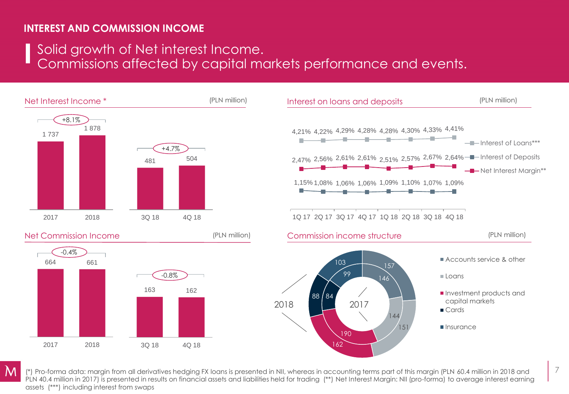## **INTEREST AND COMMISSION INCOME**

Solid growth of Net interest Income.

Commissions affected by capital markets performance and events.



(\*) Pro-forma data: margin from all derivatives hedging FX loans is presented in NII, whereas in accounting terms part of this margin (PLN 60.4 million in 2018 and PLN 40.4 million in 2017) is presented in results on financial assets and liabilities held for trading (\*\*) Net Interest Margin: NII (pro-forma) to average interest earning assets (\*\*\*) including interest from swaps

7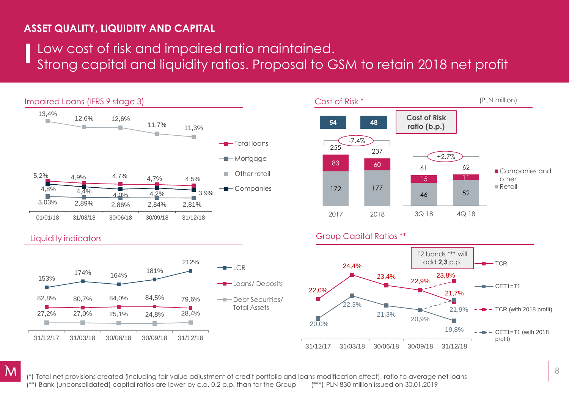## **ASSET QUALITY, LIQUIDITY AND CAPITAL**

## Low cost of risk and impaired ratio maintained. Strong capital and liquidity ratios. Proposal to GSM to retain 2018 net profit





#### Group Capital Ratios \*\*



### Liquidity indicators



(\*) Total net provisions created (including fair value adjustment of credit portfolio and loans modification effect), ratio to average net loans (\*\*) Bank (unconsolidated) capital ratios are lower by c.a. 0.2 p.p. than for the Group (\*\*\*) PLN 830 million issued on 30.01.2019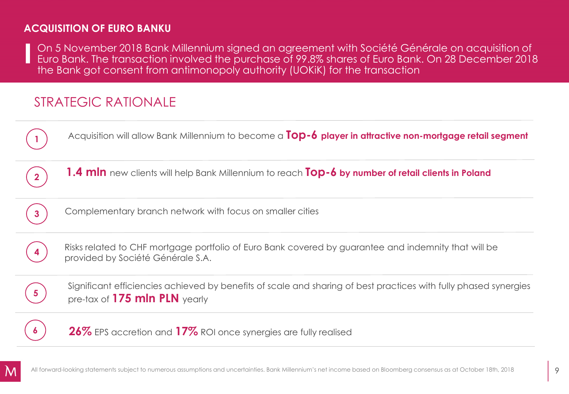## **ACQUISITION OF EURO BANKU**

On 5 November 2018 Bank Millennium signed an agreement with Société Générale on acquisition of Euro Bank. The transaction involved the purchase of 99.8% shares of Euro Bank. On 28 December 2018 the Bank got consent from antimonopoly authority (UOKiK) for the transaction

## STRATEGIC RATIONALE

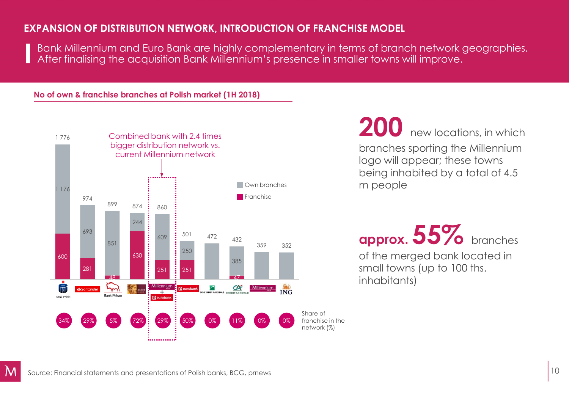### **EXPANSION OF DISTRIBUTION NETWORK, INTRODUCTION OF FRANCHISE MODEL**

Bank Millennium and Euro Bank are highly complementary in terms of branch network geographies. After finalising the acquisition Bank Millennium's presence in smaller towns will improve.

### **No of own & franchise branches at Polish market (1H 2018)**



**200** new locations, in which

branches sporting the Millennium logo will appear; these towns being inhabited by a total of 4.5 m people

**approx. 55%** branches of the merged bank located in small towns (up to 100 ths. inhabitants)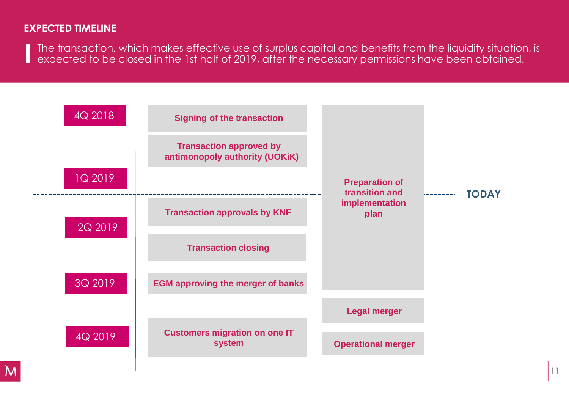### **EXPECTED TIMELINE**

The transaction, which makes effective use of surplus capital and benefits from the liquidity situation, is expected to be closed in the 1st half of 2019, after the necessary permissions have been obtained.